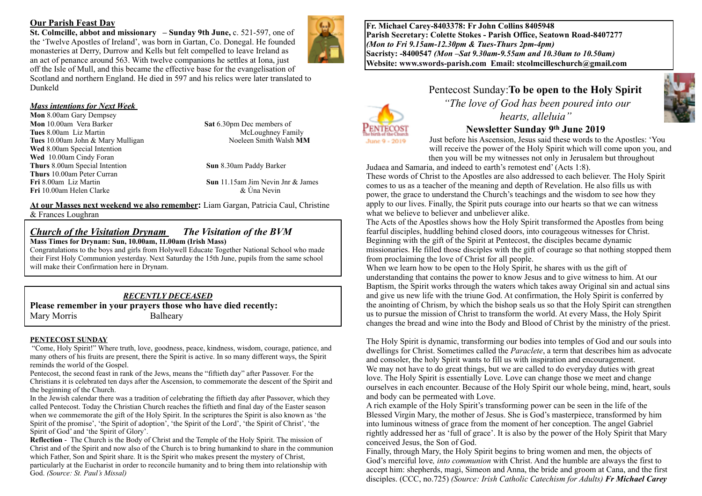#### **Our Parish Feast Day**

**St. Colmcille, abbot and missionary – Sunday 9th June, c. 521-597, one of** the 'Twelve Apostles of Ireland', was born in Gartan, Co. Donegal. He founded monasteries at Derry, Durrow and Kells but felt compelled to leave Ireland as an act of penance around 563. With twelve companions he settles at Iona, just off the Isle of Mull, and this became the effective base for the evangelisation of Scotland and northern England. He died in 597 and his relics were later translated to Dunkeld

*Mass intentions for Next Week* 

**Mon** 8.00am Gary Dempsey **Mon** 10.00am Vera Barker **Sat** 6.30pm Dec members of **Tues** 8.00am Liz Martin McLoughney Family<br> **Tues** 10.00am John & Mary Mulligan McCoughney Family Noeleen Smith Walsh MM **Tues** 10.00am John & Mary Mulligan **Wed** 8.00am Special Intention **Wed** 10.00am Cindy Foran **Thurs** 8.00am Special Intention **Sun** 8.30am Paddy Barker **Thurs** 10.00am Peter Curran **Fri** 10.00am Helen Clarke

**Fri** 8.00am Liz Martin<br> **Fri** 10.00am Helen Clarke<br> **Sun** 11.15am Jim Nevin Jnr & James<br> **Sun** 11.15am Jim Nevin

**At our Masses next weekend we also remember:** Liam Gargan, Patricia Caul, Christine & Frances Loughran

# *Church of the Visitation Drynam**The Visitation of the BVM*

**Mass Times for Drynam: Sun, 10.00am, 11.00am (Irish Mass)** 

Congratulations to the boys and girls from Holywell Educate Together National School who made their First Holy Communion yesterday. Next Saturday the 15th June, pupils from the same school will make their Confirmation here in Drynam.

#### *RECENTLY DECEASED*

**Please remember in your prayers those who have died recently:** Mary Morris Balheary

#### **PENTECOST SUNDAY**

 "Come, Holy Spirit!" Where truth, love, goodness, peace, kindness, wisdom, courage, patience, and many others of his fruits are present, there the Spirit is active. In so many different ways, the Spirit reminds the world of the Gospel.

Pentecost, the second feast in rank of the Jews, means the "fiftieth day" after Passover. For the Christians it is celebrated ten days after the Ascension, to commemorate the descent of the Spirit and the beginning of the Church.

In the Jewish calendar there was a tradition of celebrating the fiftieth day after Passover, which they called Pentecost. Today the Christian Church reaches the fiftieth and final day of the Easter season when we commemorate the gift of the Holy Spirit. In the scriptures the Spirit is also known as 'the Spirit of the promise', 'the Spirit of adoption', 'the Spirit of the Lord', 'the Spirit of Christ', 'the Spirit of God' and 'the Spirit of Glory'.

**Reflection** - The Church is the Body of Christ and the Temple of the Holy Spirit. The mission of Christ and of the Spirit and now also of the Church is to bring humankind to share in the communion which Father, Son and Spirit share. It is the Spirit who makes present the mystery of Christ, particularly at the Eucharist in order to reconcile humanity and to bring them into relationship with God. *(Source: St. Paul's Missal)*

**Fr. Michael Carey-8403378: Fr John Collins 8405948 Parish Secretary: Colette Stokes - Parish Office, Seatown Road-8407277**  *(Mon to Fri 9.15am-12.30pm & Tues-Thurs 2pm-4pm)*  **Sacristy: -8400547** *(Mon –Sat 9.30am-9.55am and 10.30am to 10.50am)* **Website: [www.swords-parish.com Email:](http://www.swords-parish.com%20%20email) stcolmcilleschurch@gmail.com**

> Pentecost Sunday:**To be open to the Holy Spirit**  *"The love of God has been poured into our hearts, alleluia"*



## **Newsletter Sunday 9th June 2019**

Just before his Ascension, Jesus said these words to the Apostles: 'You will receive the power of the Holy Spirit which will come upon you, and then you will be my witnesses not only in Jerusalem but throughout

Judaea and Samaria, and indeed to earth's remotest end' (Acts 1:8).

These words of Christ to the Apostles are also addressed to each believer. The Holy Spirit comes to us as a teacher of the meaning and depth of Revelation. He also fills us with power, the grace to understand the Church's teachings and the wisdom to see how they apply to our lives. Finally, the Spirit puts courage into our hearts so that we can witness what we believe to believer and unbeliever alike.

The Acts of the Apostles shows how the Holy Spirit transformed the Apostles from being fearful disciples, huddling behind closed doors, into courageous witnesses for Christ. Beginning with the gift of the Spirit at Pentecost, the disciples became dynamic missionaries. He filled those disciples with the gift of courage so that nothing stopped them from proclaiming the love of Christ for all people.

When we learn how to be open to the Holy Spirit, he shares with us the gift of understanding that contains the power to know Jesus and to give witness to him. At our Baptism, the Spirit works through the waters which takes away Original sin and actual sins and give us new life with the triune God. At confirmation, the Holy Spirit is conferred by the anointing of Chrism, by which the bishop seals us so that the Holy Spirit can strengthen us to pursue the mission of Christ to transform the world. At every Mass, the Holy Spirit changes the bread and wine into the Body and Blood of Christ by the ministry of the priest.

The Holy Spirit is dynamic, transforming our bodies into temples of God and our souls into dwellings for Christ. Sometimes called the *Paraclete*, a term that describes him as advocate and consoler, the holy Spirit wants to fill us with inspiration and encouragement. We may not have to do great things, but we are called to do everyday duties with great love. The Holy Spirit is essentially Love. Love can change those we meet and change ourselves in each encounter. Because of the Holy Spirit our whole being, mind, heart, souls and body can be permeated with Love.

A rich example of the Holy Spirit's transforming power can be seen in the life of the Blessed Virgin Mary, the mother of Jesus. She is God's masterpiece, transformed by him into luminous witness of grace from the moment of her conception. The angel Gabriel rightly addressed her as 'full of grace'. It is also by the power of the Holy Spirit that Mary conceived Jesus, the Son of God.

Finally, through Mary, the Holy Spirit begins to bring women and men, the objects of God's merciful love*, into communion* with Christ. And the humble are always the first to accept him: shepherds, magi, Simeon and Anna, the bride and groom at Cana, and the first disciples. (CCC, no.725) *(Source: Irish Catholic Catechism for Adults) Fr Michael Carey*